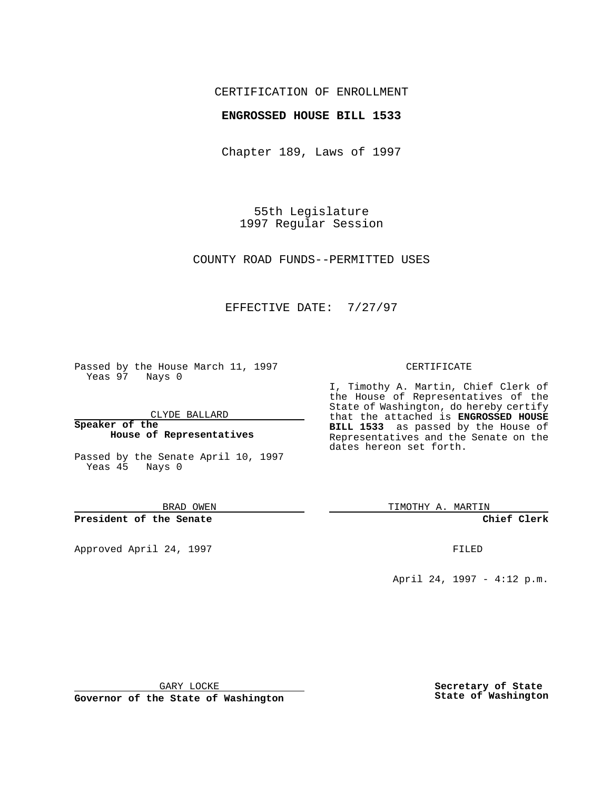# CERTIFICATION OF ENROLLMENT

# **ENGROSSED HOUSE BILL 1533**

Chapter 189, Laws of 1997

55th Legislature 1997 Regular Session

COUNTY ROAD FUNDS--PERMITTED USES

# EFFECTIVE DATE: 7/27/97

Passed by the House March 11, 1997 Yeas 97 Nays 0

CLYDE BALLARD

**Speaker of the House of Representatives**

Passed by the Senate April 10, 1997 Yeas 45 Nays 0

BRAD OWEN

**President of the Senate**

Approved April 24, 1997 **FILED** 

#### CERTIFICATE

I, Timothy A. Martin, Chief Clerk of the House of Representatives of the State of Washington, do hereby certify that the attached is **ENGROSSED HOUSE BILL 1533** as passed by the House of Representatives and the Senate on the dates hereon set forth.

TIMOTHY A. MARTIN

**Chief Clerk**

April 24, 1997 - 4:12 p.m.

GARY LOCKE

**Governor of the State of Washington**

**Secretary of State State of Washington**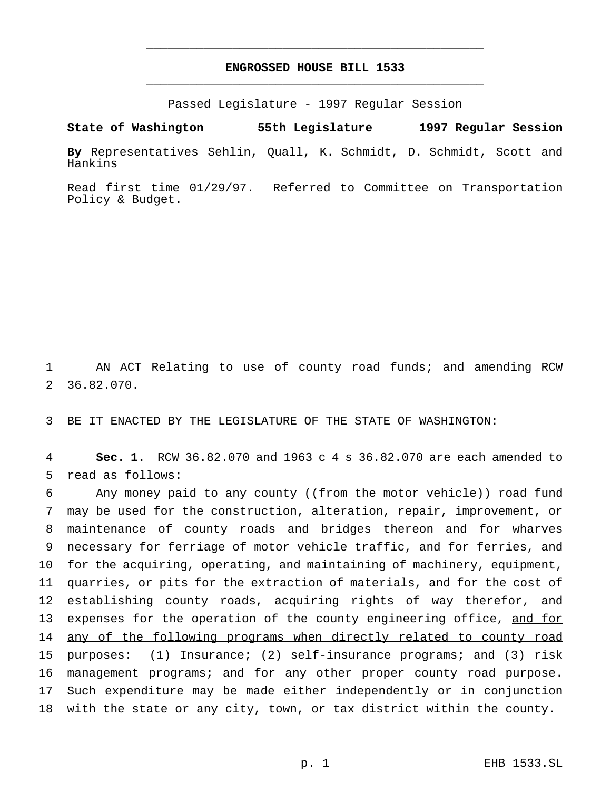# **ENGROSSED HOUSE BILL 1533** \_\_\_\_\_\_\_\_\_\_\_\_\_\_\_\_\_\_\_\_\_\_\_\_\_\_\_\_\_\_\_\_\_\_\_\_\_\_\_\_\_\_\_\_\_\_\_

\_\_\_\_\_\_\_\_\_\_\_\_\_\_\_\_\_\_\_\_\_\_\_\_\_\_\_\_\_\_\_\_\_\_\_\_\_\_\_\_\_\_\_\_\_\_\_

Passed Legislature - 1997 Regular Session

**State of Washington 55th Legislature 1997 Regular Session**

**By** Representatives Sehlin, Quall, K. Schmidt, D. Schmidt, Scott and Hankins

Read first time 01/29/97. Referred to Committee on Transportation Policy & Budget.

1 AN ACT Relating to use of county road funds; and amending RCW 2 36.82.070.

3 BE IT ENACTED BY THE LEGISLATURE OF THE STATE OF WASHINGTON:

4 **Sec. 1.** RCW 36.82.070 and 1963 c 4 s 36.82.070 are each amended to 5 read as follows:

6 Any money paid to any county ((from the motor vehicle)) road fund may be used for the construction, alteration, repair, improvement, or maintenance of county roads and bridges thereon and for wharves necessary for ferriage of motor vehicle traffic, and for ferries, and for the acquiring, operating, and maintaining of machinery, equipment, quarries, or pits for the extraction of materials, and for the cost of establishing county roads, acquiring rights of way therefor, and 13 expenses for the operation of the county engineering office, and for 14 any of the following programs when directly related to county road purposes: (1) Insurance; (2) self-insurance programs; and (3) risk 16 management programs; and for any other proper county road purpose. Such expenditure may be made either independently or in conjunction with the state or any city, town, or tax district within the county.